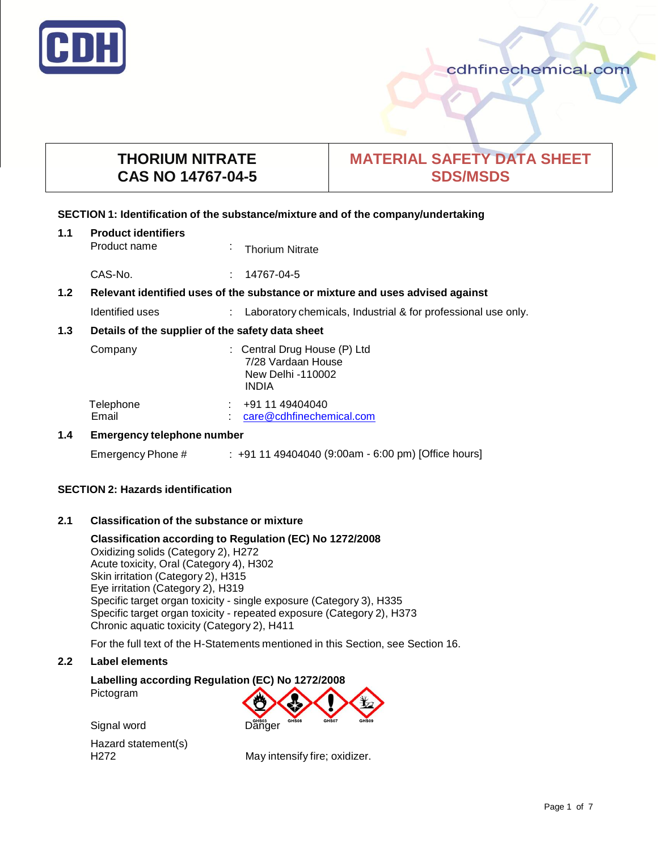

# **THORIUM NITRATE CAS NO 14767-04-5**

# **MATERIAL SAFETY DATA SHEET SDS/MSDS**

#### **SECTION 1: Identification of the substance/mixture and of the company/undertaking**

| 1.1                                      | <b>Product identifiers</b><br>Product name                                    |  | <b>Thorium Nitrate</b>                                                                  |
|------------------------------------------|-------------------------------------------------------------------------------|--|-----------------------------------------------------------------------------------------|
|                                          | CAS-No.                                                                       |  | $: 14767 - 04 - 5$                                                                      |
| 1.2                                      | Relevant identified uses of the substance or mixture and uses advised against |  |                                                                                         |
|                                          | Identified uses                                                               |  | : Laboratory chemicals, Industrial & for professional use only.                         |
| 1.3                                      | Details of the supplier of the safety data sheet                              |  |                                                                                         |
|                                          | Company                                                                       |  | : Central Drug House (P) Ltd<br>7/28 Vardaan House<br>New Delhi -110002<br><b>INDIA</b> |
|                                          | Telephone<br>Email                                                            |  | +91 11 49404040<br>care@cdhfinechemical.com                                             |
| 1.4<br><b>Emergency telephone number</b> |                                                                               |  |                                                                                         |
|                                          | Emergency Phone #                                                             |  | $: +911149404040$ (9:00am - 6:00 pm) [Office hours]                                     |

# **SECTION 2: Hazards identification**

#### **2.1 Classification of the substance or mixture**

**Classification according to Regulation (EC) No 1272/2008**

Oxidizing solids (Category 2), H272 Acute toxicity, Oral (Category 4), H302 Skin irritation (Category 2), H315 Eye irritation (Category 2), H319 Specific target organ toxicity - single exposure (Category 3), H335 Specific target organ toxicity - repeated exposure (Category 2), H373 Chronic aquatic toxicity (Category 2), H411

For the full text of the H-Statements mentioned in this Section, see Section 16.

## **2.2 Label elements**

# **Labelling according Regulation (EC) No 1272/2008** Pictogram

Signal word Danger Hazard statement(s) H272 May intensify fire; oxidizer.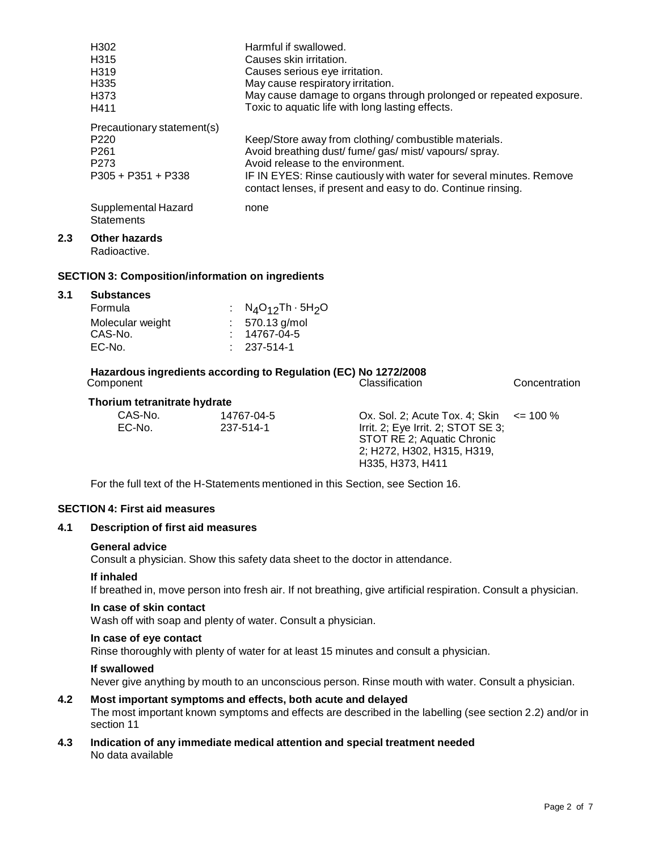|     | H302                                                     | Harmful if swallowed.                                               |               |
|-----|----------------------------------------------------------|---------------------------------------------------------------------|---------------|
|     | H <sub>315</sub>                                         | Causes skin irritation.                                             |               |
|     | H <sub>319</sub>                                         | Causes serious eye irritation.                                      |               |
|     | H335                                                     | May cause respiratory irritation.                                   |               |
|     | H <sub>3</sub> 73                                        | May cause damage to organs through prolonged or repeated exposure.  |               |
|     | H411                                                     | Toxic to aquatic life with long lasting effects.                    |               |
|     | Precautionary statement(s)                               |                                                                     |               |
|     | P <sub>220</sub>                                         | Keep/Store away from clothing/ combustible materials.               |               |
|     | P <sub>261</sub>                                         | Avoid breathing dust/ fume/ gas/ mist/ vapours/ spray.              |               |
|     | P <sub>273</sub>                                         | Avoid release to the environment.                                   |               |
|     | $P305 + P351 + P338$                                     | IF IN EYES: Rinse cautiously with water for several minutes. Remove |               |
|     |                                                          | contact lenses, if present and easy to do. Continue rinsing.        |               |
|     | Supplemental Hazard                                      | none                                                                |               |
|     | <b>Statements</b>                                        |                                                                     |               |
| 2.3 | <b>Other hazards</b>                                     |                                                                     |               |
|     | Radioactive.                                             |                                                                     |               |
|     | <b>SECTION 3: Composition/information on ingredients</b> |                                                                     |               |
|     |                                                          |                                                                     |               |
| 3.1 | <b>Substances</b>                                        |                                                                     |               |
|     | Formula                                                  | $N_4O_{12}Th \cdot 5H_2O$                                           |               |
|     | Molecular weight                                         | 570.13 g/mol                                                        |               |
|     | CAS-No.                                                  | 14767-04-5                                                          |               |
|     | EC-No.                                                   | 237-514-1                                                           |               |
|     |                                                          | Hazardous ingredients according to Regulation (EC) No 1272/2008     |               |
|     | Component                                                | Classification                                                      | Concentration |
|     | The subcome tetramitrate burdrate                        |                                                                     |               |

#### **Thorium tetranitrate hydr ate**

| CAS-No. | 14767-04-5 | Ox. Sol. 2; Acute Tox. 4; Skin $\le$ 100 % |  |
|---------|------------|--------------------------------------------|--|
| EC-No.  | 237-514-1  | Irrit. 2; Eye Irrit. 2; STOT SE 3;         |  |
|         |            | STOT RE 2; Aquatic Chronic                 |  |
|         |            | 2; H272, H302, H315, H319,                 |  |
|         |            | H335. H373. H411                           |  |

For the full text of the H-Statements mentioned in this Section, see Section 16.

### **SECTION 4: First aid measures**

#### **4.1 Description of first aid measures**

#### **General advice**

Consult a physician. Show this safety data sheet to the doctor in attendance.

#### **If inhaled**

**2.3 Other hazards**

**3.1 Substances**

If breathed in, move person into fresh air. If not breathing, give artificial respiration. Consult a physician.

#### **In case of skin contact**

Wash off with soap and plenty of water. Consult a physician.

#### **In case of eye contact**

Rinse thoroughly with plenty of water for at least 15 minutes and consult a physician.

#### **If swallowed**

Never give anything by mouth to an unconscious person. Rinse mouth with water. Consult a physician.

# **4.2 Most important symptoms and effects, both acute and delayed**

The most important known symptoms and effects are described in the labelling (see section 2.2) and/or in section 11

**4.3 Indication of any immediate medical attention and special treatment needed** No data available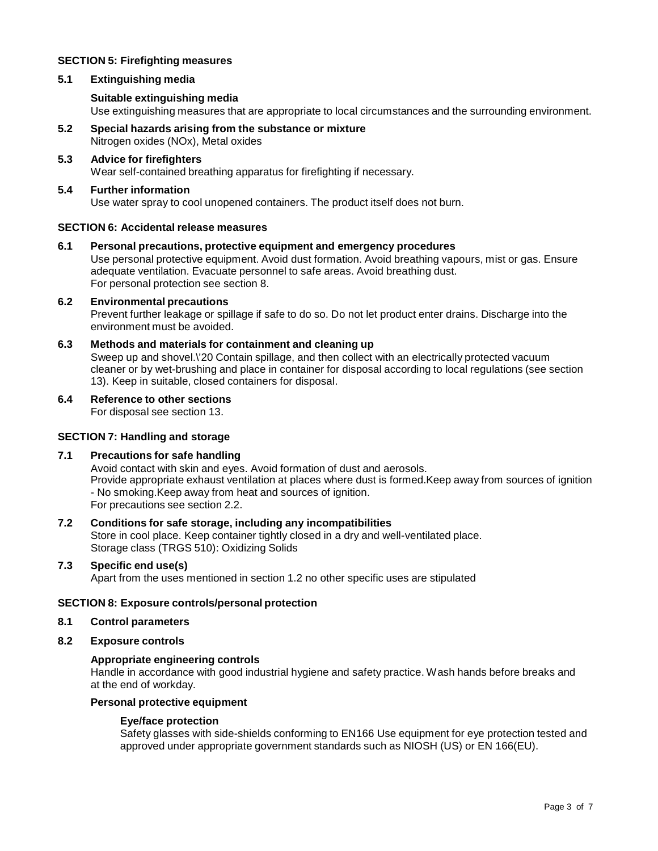# **SECTION 5: Firefighting measures**

# **5.1 Extinguishing media**

## **Suitable extinguishing media**

Use extinguishing measures that are appropriate to local circumstances and the surrounding environment.

**5.2 Special hazards arising from the substance or mixture** Nitrogen oxides (NOx), Metal oxides

#### **5.3 Advice for firefighters** Wear self-contained breathing apparatus for firefighting if necessary.

#### **5.4 Further information** Use water spray to cool unopened containers. The product itself does not burn.

#### **SECTION 6: Accidental release measures**

# **6.1 Personal precautions, protective equipment and emergency procedures** Use personal protective equipment. Avoid dust formation. Avoid breathing vapours, mist or gas. Ensure

adequate ventilation. Evacuate personnel to safe areas. Avoid breathing dust. For personal protection see section 8.

# **6.2 Environmental precautions**

Prevent further leakage or spillage if safe to do so. Do not let product enter drains. Discharge into the environment must be avoided.

# **6.3 Methods and materials for containment and cleaning up**

Sweep up and shovel.\'20 Contain spillage, and then collect with an electrically protected vacuum cleaner or by wet-brushing and place in container for disposal according to local regulations (see section 13). Keep in suitable, closed containers for disposal.

#### **6.4 Reference to other sections**

For disposal see section 13.

#### **SECTION 7: Handling and storage**

# **7.1 Precautions for safe handling**

Avoid contact with skin and eyes. Avoid formation of dust and aerosols. Provide appropriate exhaust ventilation at places where dust is formed.Keep away from sources of ignition - No smoking.Keep away from heat and sources of ignition. For precautions see section 2.2.

#### **7.2 Conditions for safe storage, including any incompatibilities** Store in cool place. Keep container tightly closed in a dry and well-ventilated place. Storage class (TRGS 510): Oxidizing Solids

# **7.3 Specific end use(s)** Apart from the uses mentioned in section 1.2 no other specific uses are stipulated

#### **SECTION 8: Exposure controls/personal protection**

#### **8.1 Control parameters**

# **8.2 Exposure controls**

#### **Appropriate engineering controls**

Handle in accordance with good industrial hygiene and safety practice. Wash hands before breaks and at the end of workday.

#### **Personal protective equipment**

#### **Eye/face protection**

Safety glasses with side-shields conforming to EN166 Use equipment for eye protection tested and approved under appropriate government standards such as NIOSH (US) or EN 166(EU).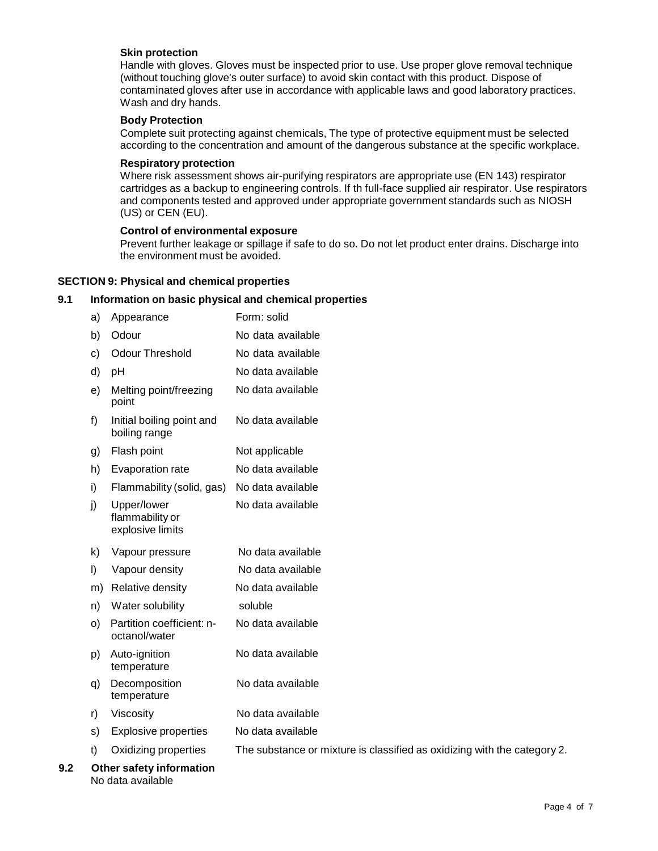### **Skin protection**

Handle with gloves. Gloves must be inspected prior to use. Use proper glove removal technique (without touching glove's outer surface) to avoid skin contact with this product. Dispose of contaminated gloves after use in accordance with applicable laws and good laboratory practices. Wash and dry hands.

#### **Body Protection**

Complete suit protecting against chemicals, The type of protective equipment must be selected according to the concentration and amount of the dangerous substance at the specific workplace.

#### **Respiratory protection**

Where risk assessment shows air-purifying respirators are appropriate use (EN 143) respirator cartridges as a backup to engineering controls. If th full-face supplied air respirator. Use respirators and components tested and approved under appropriate government standards such as NIOSH (US) or CEN (EU).

#### **Control of environmental exposure**

Prevent further leakage or spillage if safe to do so. Do not let product enter drains. Discharge into the environment must be avoided.

## **SECTION 9: Physical and chemical properties**

No data available

# **9.1 Information on basic physical and chemical properties**

|     | a)      | Appearance                                         | Form: solid                                                              |
|-----|---------|----------------------------------------------------|--------------------------------------------------------------------------|
|     | b)      | Odour                                              | No data available                                                        |
|     | c)      | <b>Odour Threshold</b>                             | No data available                                                        |
|     | d)      | pH                                                 | No data available                                                        |
|     | e)      | Melting point/freezing<br>point                    | No data available                                                        |
|     | f)      | Initial boiling point and<br>boiling range         | No data available                                                        |
|     | g)      | Flash point                                        | Not applicable                                                           |
|     | h)      | Evaporation rate                                   | No data available                                                        |
|     | i)      | Flammability (solid, gas)                          | No data available                                                        |
|     | j)      | Upper/lower<br>flammability or<br>explosive limits | No data available                                                        |
|     | k)      | Vapour pressure                                    | No data available                                                        |
|     | $\vert$ | Vapour density                                     | No data available                                                        |
|     | m)      | Relative density                                   | No data available                                                        |
|     | n)      | Water solubility                                   | soluble                                                                  |
|     | O)      | Partition coefficient: n-<br>octanol/water         | No data available                                                        |
|     | p)      | Auto-ignition<br>temperature                       | No data available                                                        |
|     | q)      | Decomposition<br>temperature                       | No data available                                                        |
|     | r)      | Viscosity                                          | No data available                                                        |
|     | s)      | <b>Explosive properties</b>                        | No data available                                                        |
|     | t)      | Oxidizing properties                               | The substance or mixture is classified as oxidizing with the category 2. |
| 9.2 |         | Other safety information                           |                                                                          |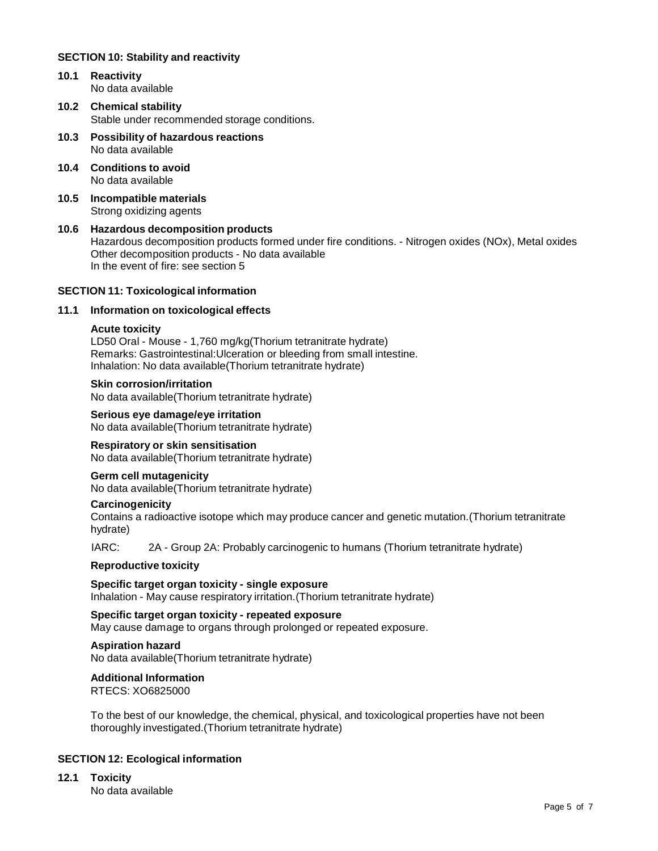#### **SECTION 10: Stability and reactivity**

- **10.1 Reactivity** No data available
- **10.2 Chemical stability** Stable under recommended storage conditions.
- **10.3 Possibility of hazardous reactions** No data available
- **10.4 Conditions to avoid** No data available
- **10.5 Incompatible materials** Strong oxidizing agents
- **10.6 Hazardous decomposition products** Hazardous decomposition products formed under fire conditions. - Nitrogen oxides (NOx), Metal oxides Other decomposition products - No data available In the event of fire: see section 5

#### **SECTION 11: Toxicological information**

#### **11.1 Information on toxicological effects**

#### **Acute toxicity**

LD50 Oral - Mouse - 1,760 mg/kg(Thorium tetranitrate hydrate) Remarks: Gastrointestinal:Ulceration or bleeding from small intestine. Inhalation: No data available(Thorium tetranitrate hydrate)

#### **Skin corrosion/irritation**

No data available(Thorium tetranitrate hydrate)

**Serious eye damage/eye irritation** No data available(Thorium tetranitrate hydrate)

#### **Respiratory or skin sensitisation**

No data available(Thorium tetranitrate hydrate)

#### **Germ cell mutagenicity**

No data available(Thorium tetranitrate hydrate)

#### **Carcinogenicity**

Contains a radioactive isotope which may produce cancer and genetic mutation.(Thorium tetranitrate hydrate)

IARC: 2A - Group 2A: Probably carcinogenic to humans (Thorium tetranitrate hydrate)

#### **Reproductive toxicity**

**Specific target organ toxicity - single exposure** Inhalation - May cause respiratory irritation.(Thorium tetranitrate hydrate)

**Specific target organ toxicity - repeated exposure** May cause damage to organs through prolonged or repeated exposure.

#### **Aspiration hazard**

No data available(Thorium tetranitrate hydrate)

#### **Additional Information**

RTECS: XO6825000

To the best of our knowledge, the chemical, physical, and toxicological properties have not been thoroughly investigated.(Thorium tetranitrate hydrate)

#### **SECTION 12: Ecological information**

**12.1 Toxicity**

No data available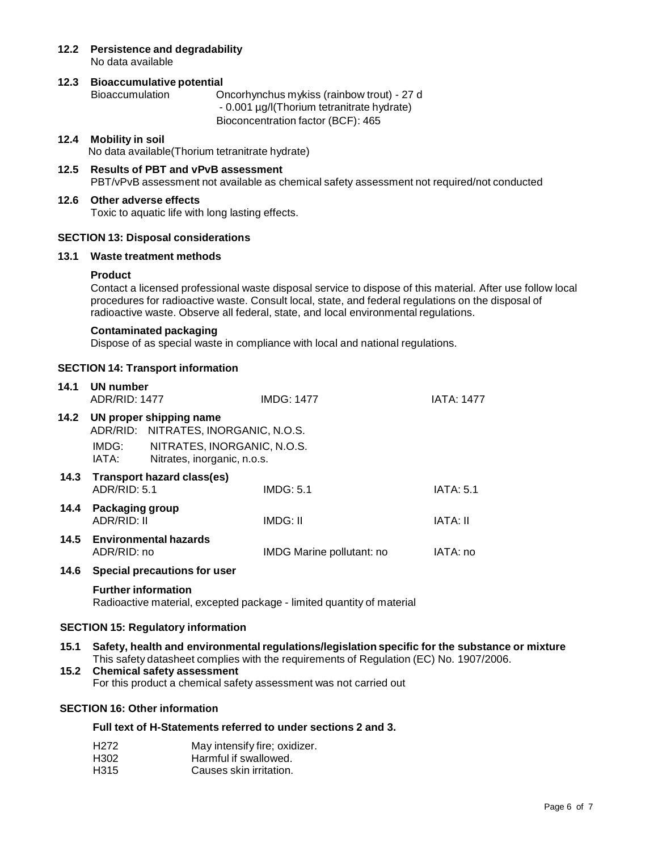**12.2 Persistence and degradability** No data available

# **12.3 Bioaccumulative potential**

Bioaccumulation Oncorhynchus mykiss (rainbow trout) - 27 d - 0.001 µg/l(Thorium tetranitrate hydrate) Bioconcentration factor (BCF): 465

# **12.4 Mobility in soil**

No data available(Thorium tetranitrate hydrate)

**12.5 Results of PBT and vPvB assessment** PBT/vPvB assessment not available as chemical safety assessment not required/not conducted

# **12.6 Other adverse effects**

Toxic to aquatic life with long lasting effects.

# **SECTION 13: Disposal considerations**

# **13.1 Waste treatment methods**

# **Product**

Contact a licensed professional waste disposal service to dispose of this material. After use follow local procedures for radioactive waste. Consult local, state, and federal regulations on the disposal of radioactive waste. Observe all federal, state, and local environmental regulations.

# **Contaminated packaging**

Dispose of as special waste in compliance with local and national regulations.

# **SECTION 14: Transport information**

| 14.1 | UN number<br><b>ADR/RID: 1477</b> |                                                                 | <b>IMDG: 1477</b>         | IATA: 1477       |
|------|-----------------------------------|-----------------------------------------------------------------|---------------------------|------------------|
| 14.2 |                                   | UN proper shipping name<br>ADR/RID: NITRATES, INORGANIC, N.O.S. |                           |                  |
|      | IMDG:<br>IATA:                    | NITRATES, INORGANIC, N.O.S.<br>Nitrates, inorganic, n.o.s.      |                           |                  |
|      | ADR/RID: 5.1                      | 14.3 Transport hazard class(es)                                 | IMDG: 5.1                 | <b>IATA: 5.1</b> |
| 14.4 | Packaging group<br>ADR/RID: II    |                                                                 | IMDG: II                  | IATA: II         |
|      | ADR/RID: no                       | 14.5 Environmental hazards                                      | IMDG Marine pollutant: no | IATA: no         |
|      |                                   | 14 6 Special processions for user                               |                           |                  |

#### **14.6 Special precautions for user**

#### **Further information**

Radioactive material, excepted package - limited quantity of material

#### **SECTION 15: Regulatory information**

- **15.1 Safety, health and environmental regulations/legislation specific for the substance or mixture** This safety datasheet complies with the requirements of Regulation (EC) No. 1907/2006.
- **15.2 Chemical safety assessment** For this product a chemical safety assessment was not carried out

# **SECTION 16: Other information**

# **Full text of H-Statements referred to under sections 2 and 3.**

| H272. | May intensify fire; oxidizer. |
|-------|-------------------------------|
| H302  | Harmful if swallowed.         |
| H315  | Causes skin irritation.       |